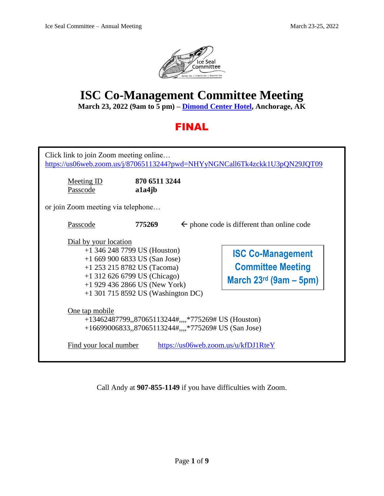

# **ISC Co-Management Committee Meeting**

**March 23, 2022 (9am to 5 pm) – [Dimond Center Hotel,](https://www.dimondcenterhotel.com/) Anchorage, AK**

## FINAL

| Click link to join Zoom meeting online<br>https://us06web.zoom.us/j/87065113244?pwd=NHYyNGNCall6Tk4zckk1U3pQN29JQT09                                                                                                                |                         |  |                                                                                  |  |
|-------------------------------------------------------------------------------------------------------------------------------------------------------------------------------------------------------------------------------------|-------------------------|--|----------------------------------------------------------------------------------|--|
| <b>Meeting ID</b><br>Passcode                                                                                                                                                                                                       | 870 6511 3244<br>a1a4jb |  |                                                                                  |  |
| or join Zoom meeting via telephone                                                                                                                                                                                                  |                         |  |                                                                                  |  |
| Passcode                                                                                                                                                                                                                            | 775269                  |  | $\leftarrow$ phone code is different than online code                            |  |
| Dial by your location<br>$+1$ 346 248 7799 US (Houston)<br>$+16699006833$ US (San Jose)<br>+1 253 215 8782 US (Tacoma)<br>$+1$ 312 626 6799 US (Chicago)<br>$+1$ 929 436 2866 US (New York)<br>$+1$ 301 715 8592 US (Washington DC) |                         |  | <b>ISC Co-Management</b><br><b>Committee Meeting</b><br>March $23rd$ (9am – 5pm) |  |
| One tap mobile<br>+13462487799,,87065113244#,,,,*775269# US (Houston)<br>+16699006833,,87065113244#,,,,*775269# US (San Jose)                                                                                                       |                         |  |                                                                                  |  |
| Find your local number<br>https://us06web.zoom.us/u/kfDJ1RteY                                                                                                                                                                       |                         |  |                                                                                  |  |

Call Andy at **907-855-1149** if you have difficulties with Zoom.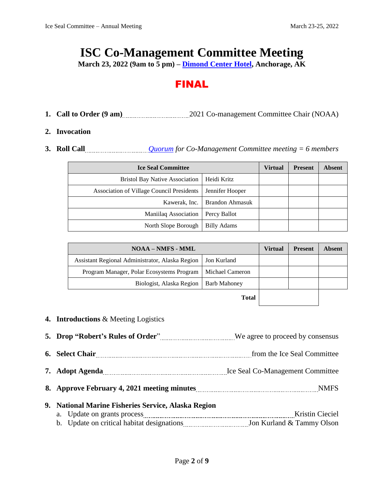# **ISC Co-Management Committee Meeting**

**March 23, 2022 (9am to 5 pm) – [Dimond Center Hotel,](https://www.dimondcenterhotel.com/) Anchorage, AK**

### FINAL

1. **Call to Order (9 am)** 2021 Co-management Committee Chair (NOAA)

### **2. Invocation**

**3. Roll Call** *Call [Quorum](https://www.iceseals.org/_files/ugd/a3b1bd_181f9d3c44c64726a5d75a97a9930866.pdf) for Co-Management Committee meeting = 6 <i>members* 

| <b>Ice Seal Committee</b>                        |                                 | Virtual | <b>Present</b> | <b>Absent</b> |
|--------------------------------------------------|---------------------------------|---------|----------------|---------------|
| <b>Bristol Bay Native Association</b>            | Heidi Kritz                     |         |                |               |
| <b>Association of Village Council Presidents</b> | Jennifer Hooper                 |         |                |               |
|                                                  | Kawerak, Inc.   Brandon Ahmasuk |         |                |               |
| Maniilaq Association                             | Percy Ballot                    |         |                |               |
| North Slope Borough                              | <b>Billy Adams</b>              |         |                |               |

| <b>NOAA – NMFS - MML</b>                        |                     | <b>Virtual</b> | <b>Present</b> | <b>Absent</b> |
|-------------------------------------------------|---------------------|----------------|----------------|---------------|
| Assistant Regional Administrator, Alaska Region | Jon Kurland         |                |                |               |
| Program Manager, Polar Ecosystems Program       | Michael Cameron     |                |                |               |
| Biologist, Alaska Region                        | <b>Barb Mahoney</b> |                |                |               |
|                                                 | Total               |                |                |               |

**4. Introductions** & Meeting Logistics

| 6. Select Chair<br><u>1980</u>                                                                                        | from the Ice Seal Committee |
|-----------------------------------------------------------------------------------------------------------------------|-----------------------------|
| 7. Adopt Agenda <b>Martin Martin Committee</b> July 1. Adopt Agenda Martin Committee 1. Adopt Agenda Martin Committee |                             |
|                                                                                                                       |                             |
| 9. National Marine Fisheries Service, Alaska Region                                                                   |                             |
|                                                                                                                       | Kristin Cieciel             |
| b. Update on critical habitat designations <b>manufactures</b> Jon Kurland & Tammy Olson                              |                             |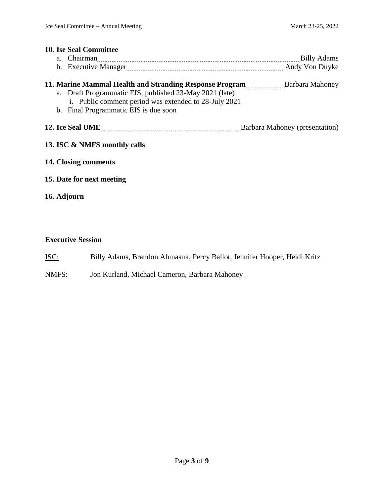|                              | <b>10. Ise Seal Committee</b>                                                                                                                                                                                                        |  |  |  |  |  |
|------------------------------|--------------------------------------------------------------------------------------------------------------------------------------------------------------------------------------------------------------------------------------|--|--|--|--|--|
|                              | a. Chairman Billy Adams                                                                                                                                                                                                              |  |  |  |  |  |
|                              |                                                                                                                                                                                                                                      |  |  |  |  |  |
|                              | 11. Marine Mammal Health and Stranding Response Program Barbara Mahoney<br>a. Draft Programmatic EIS, published 23-May 2021 (late)<br>i. Public comment period was extended to 28-July 2021<br>b. Final Programmatic EIS is due soon |  |  |  |  |  |
|                              |                                                                                                                                                                                                                                      |  |  |  |  |  |
| 13. ISC & NMFS monthly calls |                                                                                                                                                                                                                                      |  |  |  |  |  |
|                              | 14. Closing comments                                                                                                                                                                                                                 |  |  |  |  |  |
|                              | 15. Date for next meeting                                                                                                                                                                                                            |  |  |  |  |  |
|                              | 16. Adjourn                                                                                                                                                                                                                          |  |  |  |  |  |
|                              |                                                                                                                                                                                                                                      |  |  |  |  |  |
|                              |                                                                                                                                                                                                                                      |  |  |  |  |  |

### **Executive Session**

- ISC: Billy Adams, Brandon Ahmasuk, Percy Ballot, Jennifer Hooper, Heidi Kritz
- NMFS: Jon Kurland, Michael Cameron, Barbara Mahoney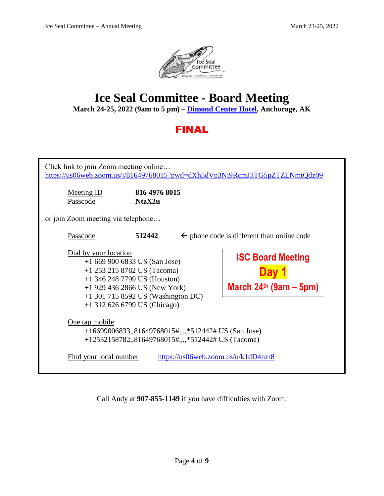

# **Ice Seal Committee - Board Meeting**

**March 24-25, 2022 (9am to 5 pm) – [Dimond Center Hotel,](https://www.dimondcenterhotel.com/) Anchorage, AK**

## FINAL

| Click link to join Zoom meeting online                        |                                                                                                                                                                                                              |  | https://us06web.zoom.us/j/81649768015?pwd=dXh5dVp3Ni9RcmJ3TG5pZTZLNmtQdz09 |  |
|---------------------------------------------------------------|--------------------------------------------------------------------------------------------------------------------------------------------------------------------------------------------------------------|--|----------------------------------------------------------------------------|--|
| <b>Meeting ID</b><br>Passcode                                 | 816 4976 8015<br>NtzX2u                                                                                                                                                                                      |  |                                                                            |  |
| or join Zoom meeting via telephone                            |                                                                                                                                                                                                              |  |                                                                            |  |
| Passcode                                                      | 512442                                                                                                                                                                                                       |  | $\leftarrow$ phone code is different than online code                      |  |
| Dial by your location                                         | $+16699006833$ US (San Jose)<br>$+1$ 253 215 8782 US (Tacoma)<br>$+1$ 346 248 7799 US (Houston)<br>$+1$ 929 436 2866 US (New York)<br>$+1$ 301 715 8592 US (Washington DC)<br>$+1$ 312 626 6799 US (Chicago) |  | <b>ISC Board Meeting</b><br>March $24th$ (9am – 5pm)                       |  |
| One tap mobile                                                | +16699006833,,81649768015#,,,,*512442# US (San Jose)<br>$+12532158782$ ,, $81649768015$ #,,,, $*512442$ # US (Tacoma)                                                                                        |  |                                                                            |  |
| Find your local number<br>https://us06web.zoom.us/u/k1dD4nzr8 |                                                                                                                                                                                                              |  |                                                                            |  |

Call Andy at **907-855-1149** if you have difficulties with Zoom.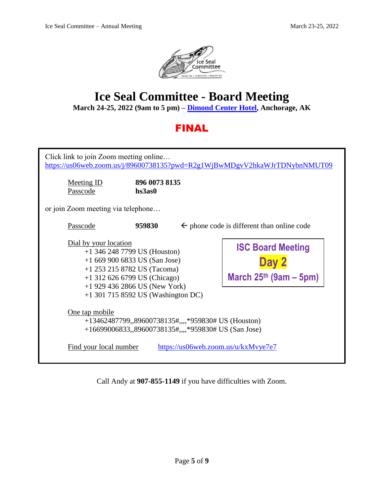

# **Ice Seal Committee - Board Meeting**

**March 24-25, 2022 (9am to 5 pm) – [Dimond Center Hotel,](https://www.dimondcenterhotel.com/) Anchorage, AK**

## FINAL

| Click link to join Zoom meeting online<br>https://us06web.zoom.us/j/89600738135?pwd=R2g1WjBwMDgvV2hkaWJrTDNybnNMUT09                                                                                                                  |                                                                 |  |                                                               |  |
|---------------------------------------------------------------------------------------------------------------------------------------------------------------------------------------------------------------------------------------|-----------------------------------------------------------------|--|---------------------------------------------------------------|--|
| <b>Meeting ID</b><br>Passcode                                                                                                                                                                                                         | 896 0073 8135<br>hs3as0                                         |  |                                                               |  |
| or join Zoom meeting via telephone                                                                                                                                                                                                    |                                                                 |  |                                                               |  |
| Passcode                                                                                                                                                                                                                              | 959830<br>$\leftarrow$ phone code is different than online code |  |                                                               |  |
| Dial by your location<br>$+1$ 346 248 7799 US (Houston)<br>$+16699006833$ US (San Jose)<br>$+1$ 253 215 8782 US (Tacoma)<br>$+1$ 312 626 6799 US (Chicago)<br>$+1$ 929 436 2866 US (New York)<br>$+1$ 301 715 8592 US (Washington DC) |                                                                 |  | <b>ISC Board Meeting</b><br>Dav 2<br>March $25th$ (9am – 5pm) |  |
| <u>One tap mobile</u><br>+13462487799,,89600738135#,,,,*959830# US (Houston)<br>+16699006833,,89600738135#,,,,*959830# US (San Jose)                                                                                                  |                                                                 |  |                                                               |  |
| Find your local number<br>https://us06web.zoom.us/u/kxMvye7e7                                                                                                                                                                         |                                                                 |  |                                                               |  |

Call Andy at **907-855-1149** if you have difficulties with Zoom.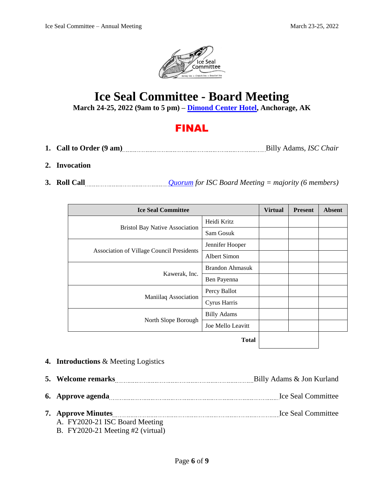

## **Ice Seal Committee - Board Meeting**

**March 24-25, 2022 (9am to 5 pm) – [Dimond Center Hotel,](https://www.dimondcenterhotel.com/) Anchorage, AK**

## FINAL

- 1. Call to Order  $(9 \text{ am})$  Billy Adams, *ISC Chair*
- **2. Invocation**
- **3. Roll Call** *[Quorum](https://www.iceseals.org/_files/ugd/a3b1bd_143ff9673e78494d9408f404229fc71a.pdf) for ISC Board Meeting = majority (6 members)*

| <b>Ice Seal Committee</b>                        |                        | <b>Virtual</b> | <b>Present</b> | <b>Absent</b> |
|--------------------------------------------------|------------------------|----------------|----------------|---------------|
|                                                  | Heidi Kritz            |                |                |               |
| <b>Bristol Bay Native Association</b>            | Sam Gosuk              |                |                |               |
|                                                  | Jennifer Hooper        |                |                |               |
| <b>Association of Village Council Presidents</b> | Albert Simon           |                |                |               |
|                                                  | <b>Brandon Ahmasuk</b> |                |                |               |
| Kawerak, Inc.                                    | Ben Payenna            |                |                |               |
|                                                  | Percy Ballot           |                |                |               |
| Maniilaq Association                             | Cyrus Harris           |                |                |               |
|                                                  | <b>Billy Adams</b>     |                |                |               |
| North Slope Borough                              | Joe Mello Leavitt      |                |                |               |
| $T_{\alpha}$                                     |                        |                |                |               |

**Total**

- **4. Introductions** & Meeting Logistics
- **5. Welcome remarks** Billy Adams & Jon Kurland **6. Approve agenda** 1.1 *Approve agenda* 1.1 *Approve agenda* 1.1 *Approve agenda* 1.1 *Approve agenda* 1.1 *Approve agents* 1.1 *Approve agents* 1.1 *Approve agents* 1.1 *Approve agents* 1.1 *Approve ag*
- **7. Approve Minutes** Ice Seal Committee
	- A. FY2020-21 ISC Board Meeting B. FY2020-21 Meeting #2 (virtual)
		-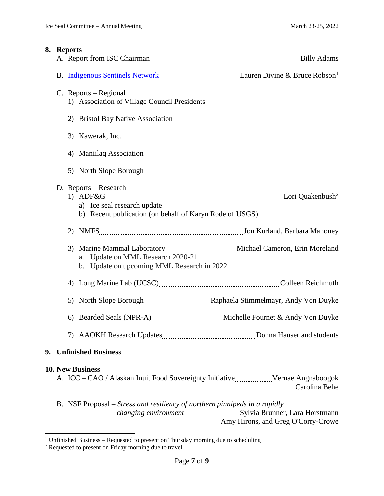| 8. | <b>Reports</b> | A. Report from ISC Chairman <b>Example 20</b> and 20 and 20 and 30 and 30 Adams                                                                                                                                                |                              |
|----|----------------|--------------------------------------------------------------------------------------------------------------------------------------------------------------------------------------------------------------------------------|------------------------------|
|    |                | B. Indigenous Sentinels Network [100] [2013] [2013] [2013] [2013] [2014] [2014] [2014] [2014] [2014] [2015] [2015] [2016] [2016] [2016] [2016] [2016] [2016] [2016] [2016] [2016] [2016] [2016] [2016] [2016] [2016] [2016] [2 |                              |
|    |                | C. Reports – Regional<br>1) Association of Village Council Presidents<br>2) Bristol Bay Native Association                                                                                                                     |                              |
|    |                | 3) Kawerak, Inc.                                                                                                                                                                                                               |                              |
|    |                | 4) Maniilaq Association                                                                                                                                                                                                        |                              |
|    |                | 5) North Slope Borough                                                                                                                                                                                                         |                              |
|    |                | D. Reports – Research<br>1) ADF&G<br>a) Ice seal research update<br>b) Recent publication (on behalf of Karyn Rode of USGS)                                                                                                    | Lori Quakenbush <sup>2</sup> |
|    |                |                                                                                                                                                                                                                                |                              |
|    |                | a. Update on MML Research 2020-21<br>b. Update on upcoming MML Research in 2022                                                                                                                                                |                              |
|    |                | 4) Long Marine Lab (UCSC) [10] Long Marine Lab (UCSC) [10] Marine Lab (UCSC) [10] Marine Lab (UCSC) [10] Marine Lab (UCSC) [10] Marine Lab (UCSC) [10] Marine Lab (UCSC) [10] Marine Lab (UCSC) [10] Marine Lab (UCSC) [10] Ma |                              |
|    |                | 5) North Slope Borough [100] Raphaela Stimmelmayr, Andy Von Duyke                                                                                                                                                              |                              |
|    |                | 6) Bearded Seals (NPR-A) ________________________ Michelle Fournet & Andy Von Duyke                                                                                                                                            |                              |
|    |                |                                                                                                                                                                                                                                |                              |
|    |                | 9. Unfinished Business                                                                                                                                                                                                         |                              |
|    |                | <b>10. New Business</b><br>A. ICC - CAO / Alaskan Inuit Food Sovereignty Initiative Manuscritt Vernae Angnaboogok                                                                                                              | Carolina Behe                |
|    |                | B. NSF Proposal – Stress and resiliency of northern pinnipeds in a rapidly                                                                                                                                                     |                              |

 $\overline{a}$ <sup>1</sup> Unfinished Business – Requested to present on Thursday morning due to scheduling

Amy Hirons, and Greg O'Corry-Crowe

 $2$  Requested to present on Friday morning due to travel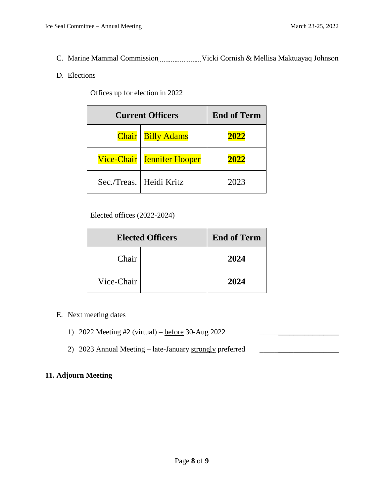C. Marine Mammal Commission Wicki Cornish & Mellisa Maktuayaq Johnson

### D. Elections

Offices up for election in 2022

| <b>Current Officers</b> | <b>End of Term</b>        |      |
|-------------------------|---------------------------|------|
| <b>Chair</b>            | <b>Billy Adams</b>        | 2022 |
| <b>Vice-Chair</b>       | <b>Jennifer Hooper</b>    | 2022 |
|                         | Sec./Treas.   Heidi Kritz | 2023 |

Elected offices (2022-2024)

| <b>Elected Officers</b> |  | <b>End of Term</b> |
|-------------------------|--|--------------------|
| Chair                   |  | 2024               |
| Vice-Chair              |  | 2024               |

- E. Next meeting dates
	- 1) 2022 Meeting #2 (virtual) <u>before</u> 30-Aug 2022
	- 2) 2023 Annual Meeting late-January strongly preferred \_\_\_\_\_**\_\_\_\_\_\_\_\_\_\_\_\_\_\_\_\_**

### **11. Adjourn Meeting**